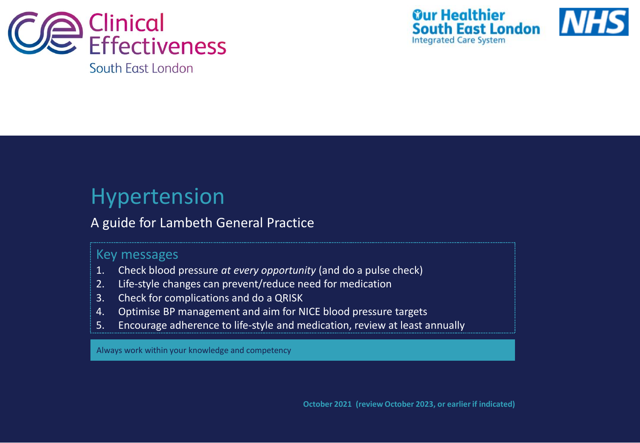



## Hypertension

## A guide for Lambeth General Practice

### Key messages

- 1. Check blood pressure *at every opportunity* (and do a pulse check)
- 2. Life-style changes can prevent/reduce need for medication
- 3. Check for complications and do a QRISK
- 4. Optimise BP management and aim for NICE blood pressure targets
- 5. Encourage adherence to life-style and medication, review at least annually

Always work within your knowledge and competency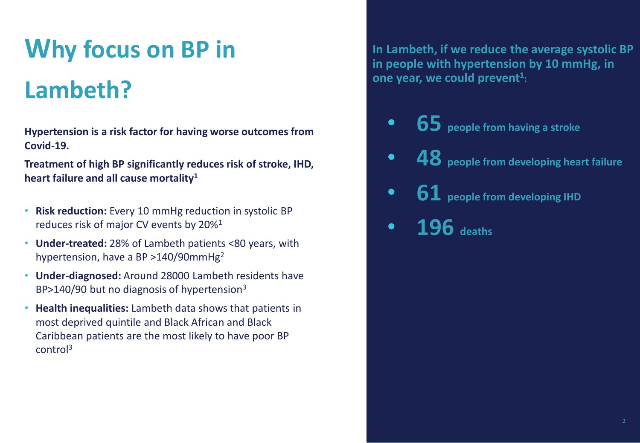# **Why focus on BP in Lambeth?**

**Hypertension is a risk factor for having worse outcomes from Covid-19.**

**Treatment of high BP significantly reduces risk of stroke, IHD, heart failure and all cause mortality<sup>1</sup>**

- **Risk reduction:** Every 10 mmHg reduction in systolic BP reduces risk of major CV events by 20%<sup>1</sup>
- **Under-treated:** 28% of Lambeth patients <80 years, with hypertension, have a BP >140/90mmHg<sup>2</sup>
- **Under-diagnosed:** Around 28000 Lambeth residents have BP>140/90 but no diagnosis of hypertension<sup>3</sup>
- **Health inequalities:** Lambeth data shows that patients in most deprived quintile and Black African and Black Caribbean patients are the most likely to have poor BP control<sup>3</sup>

**In Lambeth, if we reduce the average systolic BP in people with hypertension by 10 mmHg, in one year, we could prevent<sup>1</sup> :**

- **65 people from having a stroke**
- **48 people from developing heart failure**
- **61 people from developing IHD**
- **196 deaths**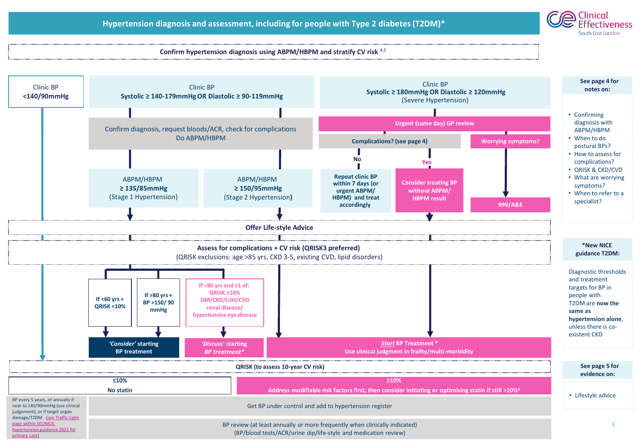

#### **Confirm hypertension diagnosis using ABPM/HBPM and stratify CV risk** 4,5

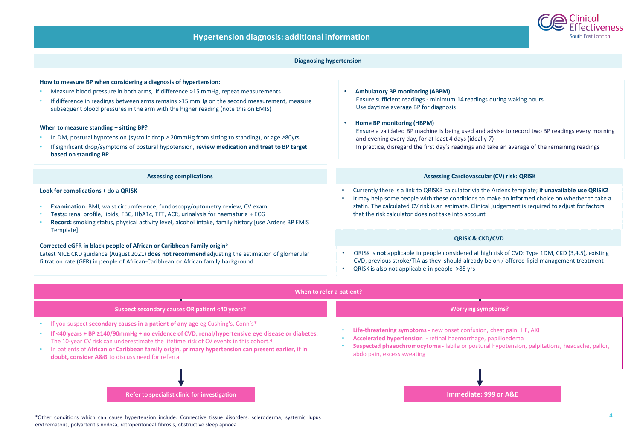

#### • QRISK is **not** applicable in people considered at high risk of CVD: Type 1DM, CKD (3,4,5), existing CVD, previous stroke/TIA as they should already be on / offered lipid management treatment • QRISK is also not applicable in people >85 yrs **Look for complications** + do a **QRISK** • **Examination:** BMI, waist circumference, fundoscopy/optometry review, CV exam • **Tests:** renal profile, lipids, FBC, HbA1c, TFT, ACR, urinalysis for haematuria + ECG • **Record:** smoking status, physical activity level, alcohol intake, family history [use Ardens BP EMIS Template] **Corrected eGFR in black people of African or Caribbean Family origin**<sup>6</sup> Latest NICE CKD guidance (August 2021) **does not recommend** adjusting the estimation of glomerular filtration rate (GFR) in people of African-Caribbean or African family background **When to measure standing + sitting BP?** • In DM, postural hypotension (systolic drop ≥ 20mmHg from sitting to standing), or age ≥80yrs • If significant drop/symptoms of postural hypotension, **review medication and treat to BP target based on standing BP Assessing complications Diagnosing hypertension** • Currently there is a link to QRISK3 calculator via the Ardens template; **if unavailable use QRISK2** • It may help some people with these conditions to make an informed choice on whether to take a statin. The calculated CV risk is an estimate. Clinical judgement is required to adjust for factors that the risk calculator does not take into account **QRISK & CKD/CVD Assessing Cardiovascular (CV) risk: QRISK** • **Ambulatory BP monitoring (ABPM)**  Ensure sufficient readings - minimum 14 readings during waking hours Use daytime average BP for diagnosis • **Home BP monitoring (HBPM)**  Ensure a [validated BP machine](https://bihsoc.org/bp-monitors/for-home-use/) is being used and advise to record two BP readings every morning and evening every day, for at least 4 days (ideally 7) In practice, disregard the first day's readings and take an average of the remaining readings **How to measure BP when considering a diagnosis of hypertension:** • Measure blood pressure in both arms, if difference >15 mmHg, repeat measurements • If difference in readings between arms remains >15 mmHg on the second measurement, measure subsequent blood pressures in the arm with the higher reading (note this on EMIS)



\*Other conditions which can cause hypertension include: Connective tissue disorders: scleroderma, systemic lupus erythematous, polyarteritis nodosa, retroperitoneal fibrosis, obstructive sleep apnoea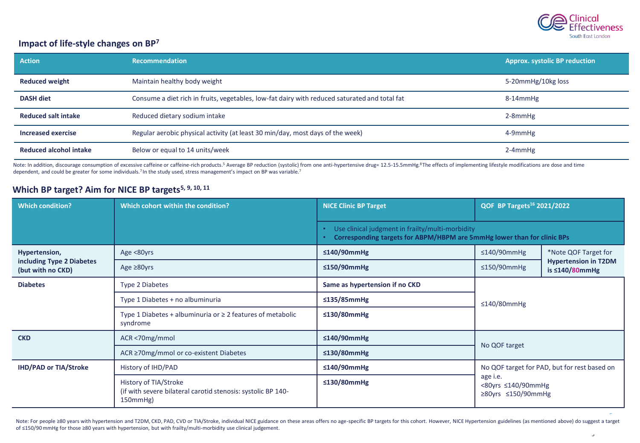

5

#### **Impact of life-style changes on BP<sup>7</sup>**

| <b>Action</b>                 | <b>Recommendation</b>                                                                         | <b>Approx. systolic BP reduction</b> |
|-------------------------------|-----------------------------------------------------------------------------------------------|--------------------------------------|
| <b>Reduced weight</b>         | Maintain healthy body weight                                                                  | 5-20mmHg/10kg loss                   |
| <b>DASH diet</b>              | Consume a diet rich in fruits, vegetables, low-fat dairy with reduced saturated and total fat | 8-14mmHg                             |
| <b>Reduced salt intake</b>    | Reduced dietary sodium intake                                                                 | $2-8$ mm $Hg$                        |
| Increased exercise            | Regular aerobic physical activity (at least 30 min/day, most days of the week)                | 4-9mmHg                              |
| <b>Reduced alcohol intake</b> | Below or equal to 14 units/week                                                               | $2-4$ mmHg                           |

Note: In addition, discourage consumption of excessive caffeine or caffeine-rich products.<sup>5</sup> Average BP reduction (systolic) from one anti-hypertensive drug= 12.5-15.5mmHg.<sup>8</sup>The effects of implementing lifestyle modifica dependent, and could be greater for some individuals.<sup>7</sup> In the study used, stress management's impact on BP was variable.<sup>7</sup>

#### **Which BP target? Aim for NICE BP targets5, 9, 10, 11**

| <b>Which condition?</b>                                         | Which cohort within the condition?                                                                      | <b>NICE Clinic BP Target</b>                     | QOF BP Targets <sup>16</sup> 2021/2022                                                                                    |  |  |
|-----------------------------------------------------------------|---------------------------------------------------------------------------------------------------------|--------------------------------------------------|---------------------------------------------------------------------------------------------------------------------------|--|--|
|                                                                 |                                                                                                         | Use clinical judgment in frailty/multi-morbidity | Corresponding targets for ABPM/HBPM are 5mmHg lower than for clinic BPs                                                   |  |  |
| Hypertension,<br>including Type 2 Diabetes<br>(but with no CKD) | Age <80yrs                                                                                              | ≤140/90mmHg                                      | $\leq$ 140/90mmHg<br>*Note QOF Target for<br><b>Hypertension in T2DM</b><br>$\leq$ 150/90mmHg<br>is $\leq$ 140/80mmHg     |  |  |
|                                                                 | Age $\geq 80$ yrs                                                                                       | ≤150/90mmHg                                      |                                                                                                                           |  |  |
| <b>Diabetes</b>                                                 | <b>Type 2 Diabetes</b>                                                                                  | Same as hypertension if no CKD                   | $\leq$ 140/80mmHg                                                                                                         |  |  |
|                                                                 | Type 1 Diabetes + no albuminuria                                                                        | $\leq$ 135/85mmHg                                |                                                                                                                           |  |  |
|                                                                 | Type 1 Diabetes + albuminuria or $\geq 2$ features of metabolic<br>syndrome                             | $\leq$ 130/80mmHg                                |                                                                                                                           |  |  |
| <b>CKD</b>                                                      | ACR <70mg/mmol                                                                                          | ≤140/90mmHg                                      | No QOF target                                                                                                             |  |  |
|                                                                 | ACR ≥70mg/mmol or co-existent Diabetes                                                                  | $\leq$ 130/80mmHg                                |                                                                                                                           |  |  |
| <b>IHD/PAD or TIA/Stroke</b>                                    | History of IHD/PAD                                                                                      | ≤140/90mmHg                                      | No QOF target for PAD, but for rest based on<br>age i.e.<br>$<80$ yrs $\leq$ 140/90mmHg<br>$\geq$ 80yrs $\leq$ 150/90mmHg |  |  |
|                                                                 | History of TIA/Stroke<br>(if with severe bilateral carotid stenosis: systolic BP 140-<br>$150mm$ Hg $)$ | $\leq$ 130/80mmHg                                |                                                                                                                           |  |  |

T<br>Note: For people ≥80 years with hypertension and T2DM, CKD, PAD, CVD or TIA/Stroke, individual NICE guidance on these areas offers no age-specific BP targets for this cohort. However, NICE Hypertension guidelines (as me of ≤150/90 mmHg for those ≥80 years with hypertension, but with frailty/multi-morbidity use clinical judgement.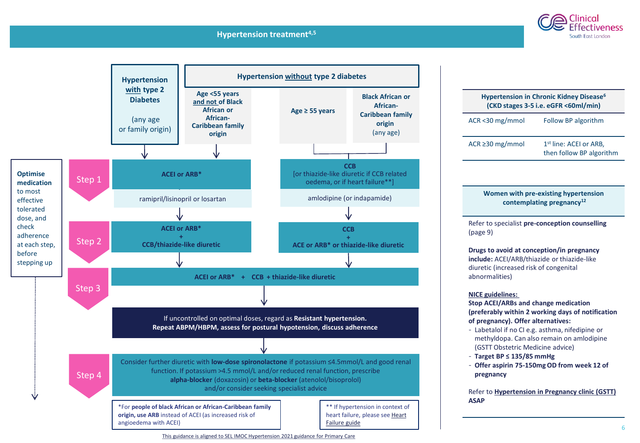#### **Hypertension treatment4,5**

**T**



## **Hypertension in Chronic Kidney Disease<sup>6</sup> (CKD stages 3-5 i.e. eGFR <60ml/min)**  ACR <30 mg/mmol Follow BP algorithm

ACR  $\geq$  30 mg/mmol 1<sup>st</sup> line: ACEI or ARB. then follow BP algorithm

ectiveness South East London

#### **Women with pre-existing hypertension contemplating pregnancy<sup>12</sup>**

Refer to specialist **pre-conception counselling**  (page 9)

#### **Drugs to avoid at conception/in pregnancy include:** ACEI/ARB/thiazide or thiazide-like diuretic (increased risk of congenital abnormalities)

#### **NICE guidelines:**

**Stop ACEI/ARBs and change medication (preferably within 2 working days of notification of pregnancy). Offer alternatives:**

- Labetalol if no CI e.g. asthma, nifedipine or methyldopa. Can also remain on amlodipine (GSTT Obstetric Medicine advice)
- **Target BP ≤ 135/85 mmHg**
- **Offer aspirin 75-150mg OD from week 12 of pregnancy**

Refer to **[Hypertension in Pregnancy clinic \(GSTT\)](https://www.guysandstthomas.nhs.uk/our-services/maternity/care-during-pregnancy/high-blood-pressure-in-pregnancy.aspx#na)  ASAP**

6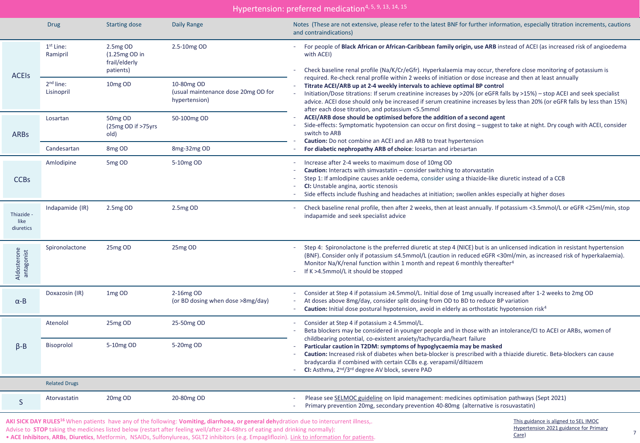| Hypertension: preferred medication <sup>4, 5, 9, 13, 14, 15</sup> |                                   |                                                            |                                                                    |                                                                                                                                                                                                                                                                                                                                                                                                                                                                                                        |
|-------------------------------------------------------------------|-----------------------------------|------------------------------------------------------------|--------------------------------------------------------------------|--------------------------------------------------------------------------------------------------------------------------------------------------------------------------------------------------------------------------------------------------------------------------------------------------------------------------------------------------------------------------------------------------------------------------------------------------------------------------------------------------------|
|                                                                   | <b>Drug</b>                       | <b>Starting dose</b>                                       | <b>Daily Range</b>                                                 | Notes (These are not extensive, please refer to the latest BNF for further information, especially titration increments, cautions<br>and contraindications)                                                                                                                                                                                                                                                                                                                                            |
| <b>ACEIS</b>                                                      | 1 <sup>st</sup> Line:<br>Ramipril | 2.5mg OD<br>$(1.25mg OD)$ in<br>frail/elderly<br>patients) | 2.5-10mg OD                                                        | For people of Black African or African-Caribbean family origin, use ARB instead of ACEI (as increased risk of angioedema<br>with ACEI)<br>Check baseline renal profile (Na/K/Cr/eGfr). Hyperkalaemia may occur, therefore close monitoring of potassium is                                                                                                                                                                                                                                             |
|                                                                   | $2nd$ line:<br>Lisinopril         | 10mg OD                                                    | 10-80mg OD<br>(usual maintenance dose 20mg OD for<br>hypertension) | required. Re-check renal profile within 2 weeks of initiation or dose increase and then at least annually<br>Titrate ACEI/ARB up at 2-4 weekly intervals to achieve optimal BP control<br>Initiation/Dose titrations: If serum creatinine increases by >20% (or eGFR falls by >15%) - stop ACEI and seek specialist<br>advice. ACEI dose should only be increased if serum creatinine increases by less than 20% (or eGFR falls by less than 15%)<br>after each dose titration, and potassium <5.5mmol |
| <b>ARBs</b>                                                       | Losartan                          | 50mg OD<br>(25mg OD if >75yrs<br>old)                      | 50-100mg OD                                                        | ACEI/ARB dose should be optimised before the addition of a second agent<br>Side-effects: Symptomatic hypotension can occur on first dosing – suggest to take at night. Dry cough with ACEI, consider<br>switch to ARB<br>Caution: Do not combine an ACEI and an ARB to treat hypertension                                                                                                                                                                                                              |
| Candesartan                                                       |                                   | 8 <sub>mg</sub> OD                                         | 8mg-32mg OD                                                        | For diabetic nephropathy ARB of choice: losartan and irbesartan                                                                                                                                                                                                                                                                                                                                                                                                                                        |
| <b>CCBs</b>                                                       | Amlodipine                        | 5mg OD                                                     | 5-10mg OD                                                          | Increase after 2-4 weeks to maximum dose of 10mg OD<br><b>Caution:</b> Interacts with simvastatin - consider switching to atorvastatin<br>Step 1: If amlodipine causes ankle oedema, consider using a thiazide-like diuretic instead of a CCB<br>CI: Unstable angina, aortic stenosis<br>Side effects include flushing and headaches at initiation; swollen ankles especially at higher doses                                                                                                          |
| Thiazide -<br>like<br>diuretics                                   | Indapamide (IR)                   | 2.5mg OD                                                   | 2.5mg OD                                                           | Check baseline renal profile, then after 2 weeks, then at least annually. If potassium <3.5mmol/L or eGFR <25ml/min, stop<br>$\sim$<br>indapamide and seek specialist advice                                                                                                                                                                                                                                                                                                                           |
| Aldosterone<br>antagonist                                         | Spironolactone                    | 25mg OD                                                    | 25mg OD                                                            | Step 4: Spironolactone is the preferred diuretic at step 4 (NICE) but is an unlicensed indication in resistant hypertension<br>(BNF). Consider only if potassium ≤4.5mmol/L (caution in reduced eGFR <30ml/min, as increased risk of hyperkalaemia).<br>Monitor Na/K/renal function within 1 month and repeat 6 monthly thereafter <sup>4</sup><br>If K >4.5mmol/L it should be stopped                                                                                                                |
| $\alpha$ -B                                                       | Doxazosin (IR)                    | 1mg OD                                                     | 2-16mg OD<br>(or BD dosing when dose >8mg/day)                     | Consider at Step 4 if potassium ≥4.5mmol/L. Initial dose of 1mg usually increased after 1-2 weeks to 2mg OD<br>At doses above 8mg/day, consider split dosing from OD to BD to reduce BP variation<br>Caution: Initial dose postural hypotension, avoid in elderly as orthostatic hypotension risk <sup>4</sup>                                                                                                                                                                                         |
|                                                                   | Atenolol                          | 25 <sub>mg</sub> OD                                        | 25-50mg OD                                                         | Consider at Step 4 if potassium $\geq$ 4.5mmol/L.<br>$\overline{\phantom{a}}$<br>Beta blockers may be considered in younger people and in those with an intolerance/CI to ACEI or ARBs, women of<br>childbearing potential, co-existent anxiety/tachycardia/heart failure                                                                                                                                                                                                                              |
| $\beta - B$                                                       | Bisoprolol                        | 5-10mg OD                                                  | 5-20mg OD                                                          | Particular caution in T2DM: symptoms of hypoglycaemia may be masked<br>Caution: Increased risk of diabetes when beta-blocker is prescribed with a thiazide diuretic. Beta-blockers can cause<br>bradycardia if combined with certain CCBs e.g. verapamil/diltiazem<br>CI: Asthma, 2 <sup>nd</sup> /3 <sup>rd</sup> degree AV block, severe PAD                                                                                                                                                         |
|                                                                   | <b>Related Drugs</b>              |                                                            |                                                                    |                                                                                                                                                                                                                                                                                                                                                                                                                                                                                                        |
| S                                                                 | Atorvastatin                      | 20mg OD                                                    | 20-80mg OD                                                         | Please see SELMOC guideline on lipid management: medicines optimisation pathways (Sept 2021)<br>Primary prevention 20mg, secondary prevention 40-80mg (alternative is rosuvastatin)                                                                                                                                                                                                                                                                                                                    |

**AKI SICK DAY RULES<sup>16</sup>** When patients have any of the following: **Vomiting, diarrhoea, or general deh**ydration due to intercurrent illness,.

Advise to **STOP** taking the medicines listed below (restart after feeling well/after 24-48hrs of eating and drinking normally):

• **ACE Inhibitors**, **ARBs**, **Diuretics**, Metformin, NSAIDs, Sulfonylureas, SGLT2 inhibitors (e.g. Empagliflozin). [Link to information for patients.](https://www.hounslowccg.nhs.uk/media/64271/Imperial-Renal-Sick-day-rules-V4.pdf)

This guidance is aligned to SEL IMOC [Hypertension 2021 guidance for Primary](https://selondonccg.nhs.uk/download/11532/)  Care)

7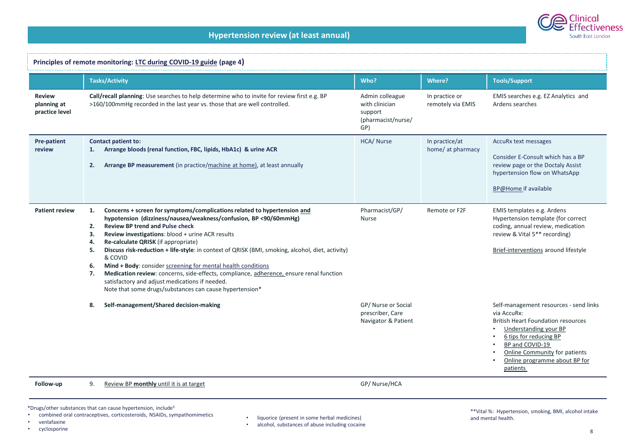

| Principles of remote monitoring: LTC during COVID-19 guide (page 4) |                                                                                                                                                                                                                                                                                                                                                                                                                                                                                                                                                                                                                                                                                                                    |                                                                           |                                     |                                                                                                                                                                                                                                                               |
|---------------------------------------------------------------------|--------------------------------------------------------------------------------------------------------------------------------------------------------------------------------------------------------------------------------------------------------------------------------------------------------------------------------------------------------------------------------------------------------------------------------------------------------------------------------------------------------------------------------------------------------------------------------------------------------------------------------------------------------------------------------------------------------------------|---------------------------------------------------------------------------|-------------------------------------|---------------------------------------------------------------------------------------------------------------------------------------------------------------------------------------------------------------------------------------------------------------|
|                                                                     | <b>Tasks/Activity</b>                                                                                                                                                                                                                                                                                                                                                                                                                                                                                                                                                                                                                                                                                              | Who?                                                                      | Where?                              | <b>Tools/Support</b>                                                                                                                                                                                                                                          |
| <b>Review</b><br>planning at<br>practice level                      | Call/recall planning: Use searches to help determine who to invite for review first e.g. BP<br>>160/100mmHg recorded in the last year vs. those that are well controlled.                                                                                                                                                                                                                                                                                                                                                                                                                                                                                                                                          | Admin colleague<br>with clinician<br>support<br>(pharmacist/nurse/<br>GP) | In practice or<br>remotely via EMIS | EMIS searches e.g. EZ Analytics and<br>Ardens searches                                                                                                                                                                                                        |
| Pre-patient<br>review                                               | <b>Contact patient to:</b><br>Arrange bloods (renal function, FBC, lipids, HbA1c) & urine ACR<br>1.<br>2.<br>Arrange BP measurement (in practice/machine at home), at least annually                                                                                                                                                                                                                                                                                                                                                                                                                                                                                                                               | HCA/ Nurse                                                                | In practice/at<br>home/ at pharmacy | AccuRx text messages<br>Consider E-Consult which has a BP<br>review page or the Doctaly Assist<br>hypertension flow on WhatsApp<br><b>BP@Home if available</b>                                                                                                |
| <b>Patient review</b>                                               | Concerns + screen for symptoms/complications related to hypertension and<br>1.<br>hypotension (dizziness/nausea/weakness/confusion, BP <90/60mmHg)<br><b>Review BP trend and Pulse check</b><br>2.<br>Review investigations: blood + urine ACR results<br>3.<br>Re-calculate QRISK (if appropriate)<br>4.<br>Discuss risk-reduction + life-style: in context of QRISK (BMI, smoking, alcohol, diet, activity)<br>5.<br>& COVID<br>Mind + Body: consider screening for mental health conditions<br>6.<br>Medication review: concerns, side-effects, compliance, adherence, ensure renal function<br>7.<br>satisfactory and adjust medications if needed.<br>Note that some drugs/substances can cause hypertension* | Pharmacist/GP/<br><b>Nurse</b>                                            | Remote or F2F                       | EMIS templates e.g. Ardens<br>Hypertension template (for correct<br>coding, annual review, medication<br>review & Vital 5** recording)<br>Brief-interventions around lifestyle                                                                                |
|                                                                     | Self-management/Shared decision-making<br>8.                                                                                                                                                                                                                                                                                                                                                                                                                                                                                                                                                                                                                                                                       | GP/ Nurse or Social<br>prescriber, Care<br>Navigator & Patient            |                                     | Self-management resources - send links<br>via AccuRx:<br><b>British Heart Foundation resources</b><br>Understanding your BP<br>6 tips for reducing BP<br>BP and COVID-19<br><b>Online Community for patients</b><br>Online programme about BP for<br>patients |
| Follow-up                                                           | Review BP monthly until it is at target<br>9.                                                                                                                                                                                                                                                                                                                                                                                                                                                                                                                                                                                                                                                                      | GP/Nurse/HCA                                                              |                                     |                                                                                                                                                                                                                                                               |

 $*$ Drugs/other substances that can cause hypertension, include<sup>5</sup>

• combined oral contraceptives, corticosteroids, NSAIDs, sympathomimetics

- venlafaxine
- cyclosporine
- liquorice (present in some herbal medicines)
- alcohol, substances of abuse including cocaine

\*\*Vital %: Hypertension, smoking, BMI, alcohol intake and mental health.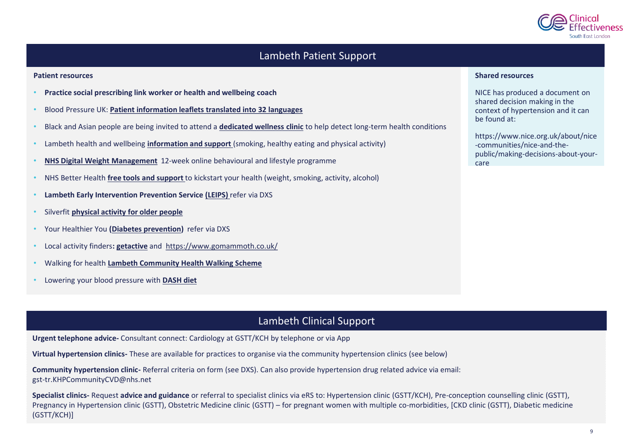

#### Lambeth Patient Support

#### **Patient resources**

- **Practice social prescribing link worker or health and wellbeing coach**
- Blood Pressure UK: **[Patient information leaflets translated into 32 languages](http://www.bloodpressureuk.org/resources/publications/translated-blood-pressure-information/)**
- Black and Asian people are being invited to attend a **[dedicated wellness clinic](https://eur03.safelinks.protection.outlook.com/?url=https%3A%2F%2Fwww.guysandstthomas.nhs.uk%2Fnews-and-events%2F2021-news%2Fseptember%2F20210927-black%2520and%2520asian%2520communities%2520invited%2520to%2520dedicated%2520wellness%2520clinic.aspx&data=04%7C01%7Crachna.chowla%40kcl.ac.uk%7Ce86f89e243f345269ae408d9842ae457%7C8370cf1416f34c16b83c724071654356%7C0%7C0%7C637686142009403909%7CUnknown%7CTWFpbGZsb3d8eyJWIjoiMC4wLjAwMDAiLCJQIjoiV2luMzIiLCJBTiI6Ik1haWwiLCJXVCI6Mn0%3D%7C1000&sdata=45VB%2B7Fo4%2FqiqA%2Fj9LGu%2Bqr0yBR2pjKY4FbQUfBA7DU%3D&reserved=0)** to help detect long-term health conditions
- Lambeth health and wellbeing **[information and support](https://beta.lambeth.gov.uk/adult-social-care-and-health/health-and-wellbeing)** (smoking, healthy eating and physical activity)
- **[NHS Digital Weight Management](https://www.england.nhs.uk/digital-weight-management/)** 12-week online behavioural and lifestyle programme
- NHS Better Health **[free tools and support](https://www.nhs.uk/better-health/)** to kickstart your health (weight, smoking, activity, alcohol)
- **Lambeth Early Intervention Prevention Service [\(LEIPS\)](https://www.guysandstthomas.nhs.uk/our-services/leips/overview.aspx)** refer via DXS
- Silverfit **[physical activity for older people](https://www.silverfit.org.uk/)**
- Your Healthier You **[\(Diabetes prevention\)](https://preventing-diabetes.co.uk/referrers/south-london/)** refer via DXS
- Local activity finders**: [getactive](https://getactive.activityfinder.net/)** and <https://www.gomammoth.co.uk/>
- Walking for health **[Lambeth Community Health Walking Scheme](https://www.walkingforhealth.org.uk/walkfinder/lambeth-community-health-walking-scheme)**
- Lowering your blood pressure with **[DASH diet](https://www.nhlbi.nih.gov/files/docs/public/heart/new_dash.pdf)**

#### **Shared resources**

NICE has produced a document on shared decision making in the context of hypertension and it can be found at:

https://www.nice.org.uk/about/nice -communities/nice-and-thepublic/making-decisions-about-yourcare

#### Lambeth Clinical Support

**Urgent telephone advice-** Consultant connect: Cardiology at GSTT/KCH by telephone or via App

**Virtual hypertension clinics-** These are available for practices to organise via the community hypertension clinics (see below)

**Community hypertension clinic-** Referral criteria on form (see DXS). Can also provide hypertension drug related advice via email: gst-tr.KHPCommunityCVD@nhs.net

**Specialist clinics-** Request **advice and guidance** or referral to specialist clinics via eRS to: Hypertension clinic (GSTT/KCH), Pre-conception counselling clinic (GSTT), Pregnancy in Hypertension clinic (GSTT), Obstetric Medicine clinic (GSTT) – for pregnant women with multiple co-morbidities, [CKD clinic (GSTT), Diabetic medicine (GSTT/KCH)]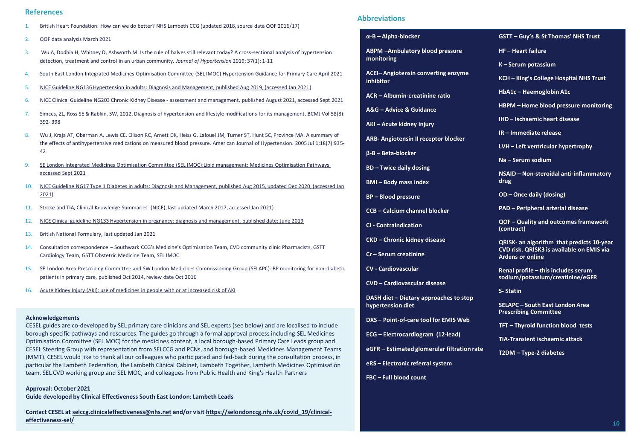#### **References**

- 1. British Heart Foundation: How can we do better? NHS Lambeth CCG (updated 2018, source data QOF 2016/17)
- 2. QOF data analysis March 2021
- 3. Wu A, Dodhia H, Whitney D, Ashworth M. Is the rule of halves still relevant today? A cross-sectional analysis of hypertension detection, treatment and control in an urban community. *Journal of Hypertension* 2019; 37(1): 1-11
- 4. South East London Integrated Medicines Optimisation Committee (SEL IMOC) Hypertension Guidance for Primary Care April 2021
- 5. [NICE Guideline NG136 Hypertension in adults: Diagnosis and Management, published Aug 2019, \(accessed Jan 2021\)](https://www.nice.org.uk/guidance/ng136/resources/hypertension-in-adults-diagnosis-and-management-pdf-66141722710213)
- 6. NICE Clinical Guideline NG203 Chronic Kidney Disease [assessment and management, published August 2021, accessed Sept 2021](https://www.nice.org.uk/guidance/cg182/resources/chronic-kidney-disease-in-adults-assessment-and-management-pdf-35109809343205)
- 7. Simces, ZL, Ross SE & Rabkin, SW, 2012, Diagnosis of hypertension and lifestyle modifications for its management, BCMJ Vol 58(8): 392- 398
- 8. Wu J, Kraja AT, Oberman A, Lewis CE, Ellison RC, Arnett DK, Heiss G, Lalouel JM, Turner ST, Hunt SC, Province MA. A summary of the effects of antihypertensive medications on measured blood pressure. American Journal of Hypertension. 2005 Jul 1;18(7):935- 42
- 9. [SE London Integrated Medicines Optimisation Committee \(SEL IMOC\):Lipid management: Medicines Optimisation Pathways,](https://selondonccg.nhs.uk/wp-content/uploads/dlm_uploads/2021/09/Lipids-management-pathways-for-South-East-London-FINAL-September-2021.pdf)  accessed Sept 2021
- 10. [NICE Guideline NG17 Type 1 Diabetes in adults: Diagnosis and Management, published Aug 2015, updated Dec 2020, \(accessed Jan](https://www.nice.org.uk/guidance/ng17/resources/type-1-diabetes-in-adults-diagnosis-and-management-pdf-1837276469701)  2021)
- 11. Stroke and TIA, Clinical Knowledge Summaries (NICE), last updated March 2017, accessed Jan 2021)
- 12. [NICE Clinical guideline NG133 Hypertension in pregnancy: diagnosis and management, published date: June 2019](https://www.nice.org.uk/guidance/ng133/resources/hypertension-in-pregnancy-diagnosis-and-management-pdf-66141717671365)
- 13. British National Formulary, last updated Jan 2021
- 14. Consultation correspondence Southwark CCG's Medicine's Optimisation Team, CVD community clinic Pharmacists, GSTT Cardiology Team, GSTT Obstetric Medicine Team, SEL IMOC
- 15. SE London Area Prescribing Committee and SW London Medicines Commissioning Group (SELAPC): BP monitoring for non-diabetic patients in primary care, published Oct 2014, review date Oct 2016
- 16. [Acute Kidney Injury \(AKI\): use of medicines in people with or at increased risk of AKI](http://www.nice.org.uk/advice/KTT17/chapter/Evidence-context)

#### **Acknowledgements**

CESEL guides are co-developed by SEL primary care clinicians and SEL experts (see below) and are localised to include borough specific pathways and resources. The guides go through a formal approval process including SEL Medicines Optimisation Committee (SEL MOC) for the medicines content, a local borough-based Primary Care Leads group and CESEL Steering Group with representation from SELCCG and PCNs, and borough-based Medicines Management Teams (MMT). CESEL would like to thank all our colleagues who participated and fed-back during the consultation process, in particular the Lambeth Federation, the Lambeth Clinical Cabinet, Lambeth Together, Lambeth Medicines Optimisation team, SEL CVD working group and SEL MOC, and colleagues from Public Health and King's Health Partners

#### **Approval: October 2021**

**Guide developed by Clinical Effectiveness South East London: Lambeth Leads**

**Contact CESEL at [selccg.clinicaleffectiveness@nhs.net](mailto:selccg.clinicaleffectiveness@nhs.net) [and/or visit https://selondonccg.nhs.uk/covid\\_19/clinical](https://selondonccg.nhs.uk/covid_19/clinical-effectiveness-sel/)effectiveness-sel/**

#### **Abbreviations**

#### **α-B – Alpha-blocker**

**ABPM –Ambulatory blood pressure monitoring**

**ACEI– Angiotensin converting enzyme inhibitor**

- **ACR – Albumin-creatinine ratio**
- **A&G – Advice & Guidance**
- **AKI – Acute kidney injury**
- **ARB- Angiotensin II receptor blocker**
- **β-B – Beta-blocker**
- **BD – Twice daily dosing**
- **BMI – Body mass index**
- **BP – Blood pressure**
- **CCB – Calcium channel blocker**
- **CI - Contraindication**
- **CKD – Chronic kidney disease**
- **Cr – Serum creatinine**
- **CV - Cardiovascular**
- **CVD – Cardiovascular disease**

**DASH diet – Dietary approaches to stop hypertension diet**

- **DXS – Point-of-care tool for EMIS Web**
- **ECG – Electrocardiogram (12-lead)**
- **eGFR – Estimated glomerular filtration rate**
- **eRS – Electronic referral system**
- **FBC – Full blood count**
- **GSTT – Guy's & St Thomas' NHS Trust**
- **HF – Heart failure**
- **K – Serum potassium**
- **KCH – King's College Hospital NHS Trust**
- **HbA1c – Haemoglobin A1c**
- **HBPM – Home blood pressure monitoring**
- **IHD – Ischaemic heart disease**
- **IR – Immediate release**
- **LVH – Left ventricular hypertrophy**
- **Na – Serum sodium**

**NSAID – Non-steroidal anti-inflammatory drug**

- **OD – Once daily (dosing)**
- **PAD – Peripheral arterial disease**

**QOF – Quality and outcomes framework (contract)**

**QRISK- an algorithm that predicts 10-year CVD risk. QRISK3 is available on EMIS via Ardens or [online](https://qrisk.org/three/)**

**Renal profile – this includes serum sodium/potassium/creatinine/eGFR**

**S- Statin**

**SELAPC – South East London Area Prescribing Committee**

**TFT – Thyroid function blood tests**

**TIA-Transient ischaemic attack**

**T2DM – Type-2 diabetes**